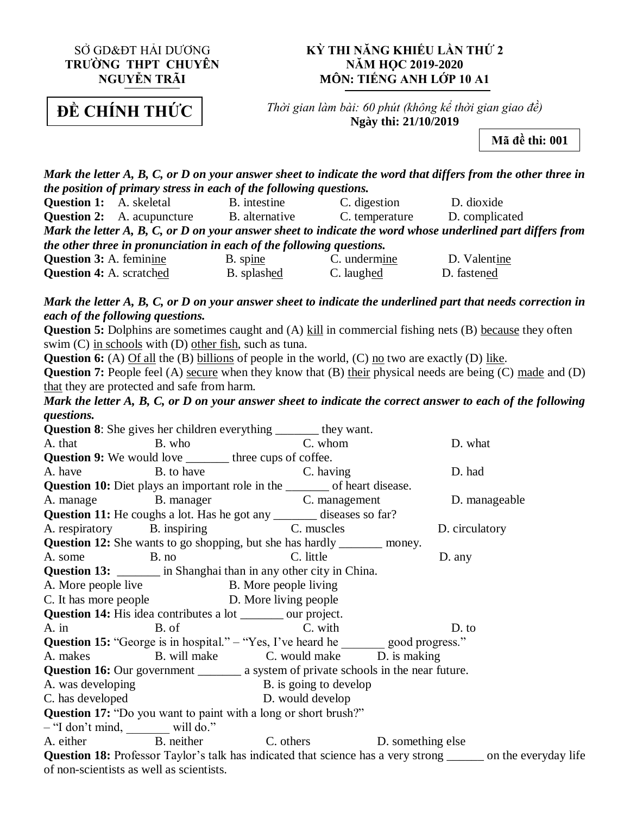### SỞ GD&ĐT HẢI DƯƠNG **TRƯỜNG THPT CHUYÊN NGUYỄN TRÃI**

#### **KỲ THI NĂNG KHIẾU LẦN THỨ 2 NĂM HỌC 2019-2020 MÔN: TIẾNG ANH LỚP 10 A1**

ĐỀ **ĐỀ CHÍNH THỨC**

*Thời gian làm bài: 60 phút (không kể thời gian giao đề)* **Ngày thi: 21/10/2019**

**Mã đề thi: 001**

*Mark the letter A, B, C, or D on your answer sheet to indicate the word that differs from the other three in the position of primary stress in each of the following questions.* **Question 1:** A. skeletal B. intestine C. digestion D. dioxide **Question 2:** A. acupuncture B. alternative C. temperature D. complicated *Mark the letter A, B, C, or D on your answer sheet to indicate the word whose underlined part differs from the other three in pronunciation in each of the following questions.* **Question 3:** A. feminine B. spine B. undermine D. Valentine **Question 4:** A. scratched B. splashed C. laughed D. fastened *Mark the letter A, B, C, or D on your answer sheet to indicate the underlined part that needs correction in each of the following questions.* **Question 5:** Dolphins are sometimes caught and (A) kill in commercial fishing nets (B) because they often swim (C) in schools with (D) other fish, such as tuna. **Question 6:** (A) Of all the (B) billions of people in the world, (C) no two are exactly (D) like. **Question 7:** People feel (A) secure when they know that (B) their physical needs are being (C) made and (D) that they are protected and safe from harm. *Mark the letter A, B, C, or D on your answer sheet to indicate the correct answer to each of the following questions.* **Question 8**: She gives her children everything \_\_\_\_\_\_\_ they want. A. that B. who B. who C. whom D. what **Question 9:** We would love \_\_\_\_\_\_\_ three cups of coffee. A. have B. to have C. having D. had **Question 10:** Diet plays an important role in the \_\_\_\_\_\_\_ of heart disease. A. manage B. manager C. management D. manageable **Question 11:** He coughs a lot. Has he got any \_\_\_\_\_\_\_ diseases so far? A. respiratory B. inspiring C. muscles D. circulatory **Question 12:** She wants to go shopping, but she has hardly \_\_\_\_\_\_\_\_ money. A. some B. no C. little D. any **Question 13:** \_\_\_\_\_\_\_ in Shanghai than in any other city in China. A. More people live B. More people living C. It has more people D. More living people **Question 14:** His idea contributes a lot \_\_\_\_\_\_\_ our project. A. in B. of C. with D. to **Question 15:** "George is in hospital." – "Yes, I've heard he good progress." A. makes B. will make C. would make D. is making **Question 16:** Our government \_\_\_\_\_\_\_\_ a system of private schools in the near future. A. was developing B. is going to develop C. has developed D. would develop **Question 17:** "Do you want to paint with a long or short brush?" – "I don't mind, will do." A. either B. neither C. others D. something else **Question 18:** Professor Taylor's talk has indicated that science has a very strong \_\_\_\_\_\_ on the everyday life of non-scientists as well as scientists.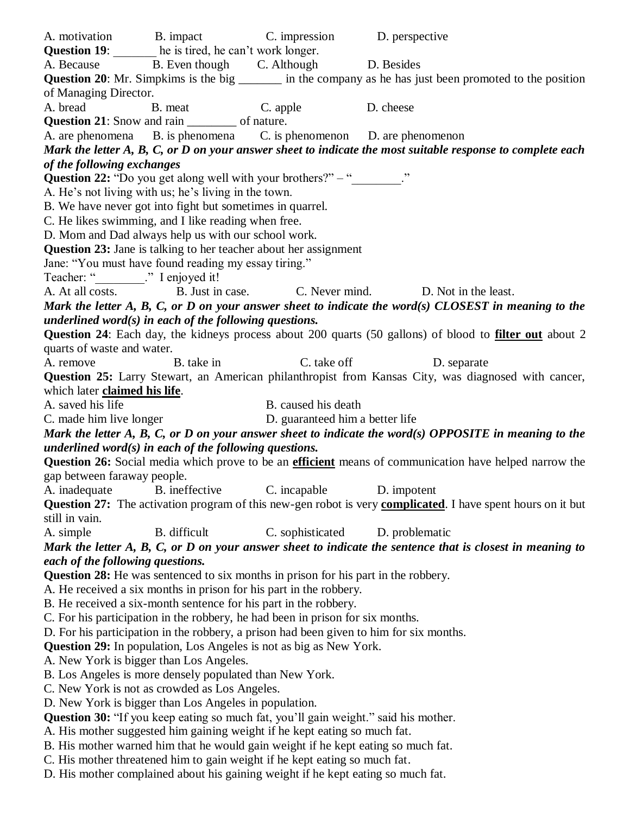A. motivation B. impact C. impression D. perspective **Question 19:** less tired, he can't work longer. A. Because B. Even though C. Although D. Besides **Question 20**: Mr. Simpkims is the big \_\_\_\_\_\_\_\_ in the company as he has just been promoted to the position of Managing Director. A. bread B. meat C. apple D. cheese **Question 21:** Snow and rain \_\_\_\_\_\_\_ of nature. A. are phenomena B. is phenomena C. is phenomenon D. are phenomenon *Mark the letter A, B, C, or D on your answer sheet to indicate the most suitable response to complete each of the following exchanges* **Question 22:** "Do you get along well with your brothers?" – " A. He's not living with us; he's living in the town. B. We have never got into fight but sometimes in quarrel. C. He likes swimming, and I like reading when free. D. Mom and Dad always help us with our school work. **Question 23:** Jane is talking to her teacher about her assignment Jane: "You must have found reading my essay tiring." Teacher: " \_\_\_\_\_\_. " I enjoyed it! A. At all costs. B. Just in case. C. Never mind. D. Not in the least. *Mark the letter A, B, C, or D on your answer sheet to indicate the word(s) CLOSEST in meaning to the underlined word(s) in each of the following questions.* **Question 24**: Each day, the kidneys process about 200 quarts (50 gallons) of blood to **filter out** about 2 quarts of waste and water. A. remove B. take in C. take off D. separate **Question 25:** Larry Stewart, an American philanthropist from Kansas City, was diagnosed with cancer, which later **claimed his life**. A. saved his life B. caused his death C. made him live longer D. guaranteed him a better life *Mark the letter A, B, C, or D on your answer sheet to indicate the word(s) OPPOSITE in meaning to the underlined word(s) in each of the following questions.* **Question 26:** Social media which prove to be an **efficient** means of communication have helped narrow the gap between faraway people. A. inadequate B. ineffective C. incapable D. impotent **Question 27:** The activation program of this new-gen robot is very **complicated**. I have spent hours on it but still in vain. A. simple B. difficult C. sophisticated D. problematic *Mark the letter A, B, C, or D on your answer sheet to indicate the sentence that is closest in meaning to each of the following questions.* **Question 28:** He was sentenced to six months in prison for his part in the robbery. A. He received a six months in prison for his part in the robbery. B. He received a six-month sentence for his part in the robbery. C. For his participation in the robbery, he had been in prison for six months. D. For his participation in the robbery, a prison had been given to him for six months. **Question 29:** In population, Los Angeles is not as big as New York. A. New York is bigger than Los Angeles. B. Los Angeles is more densely populated than New York. C. New York is not as crowded as Los Angeles. D. New York is bigger than Los Angeles in population. **Question 30:** "If you keep eating so much fat, you'll gain weight." said his mother. A. His mother suggested him gaining weight if he kept eating so much fat.

B. His mother warned him that he would gain weight if he kept eating so much fat.

C. His mother threatened him to gain weight if he kept eating so much fat.

D. His mother complained about his gaining weight if he kept eating so much fat.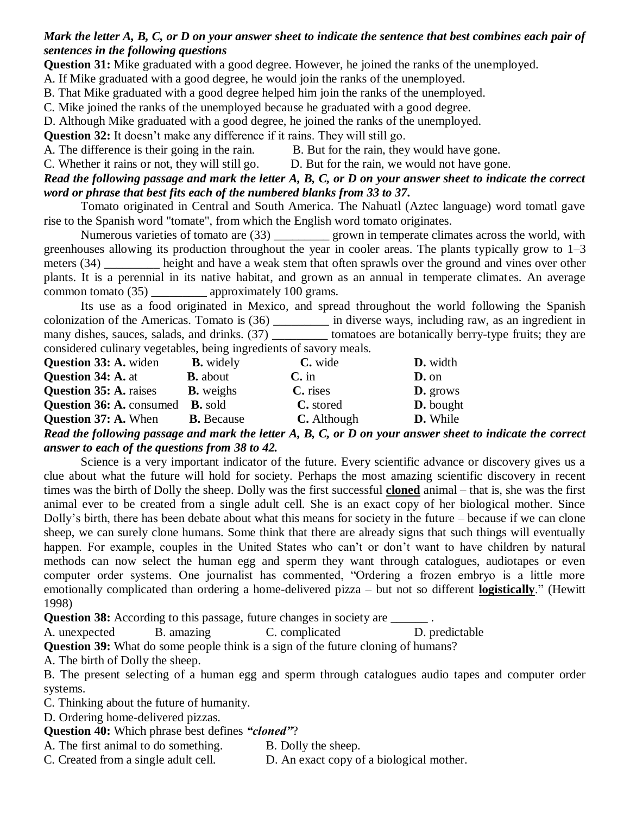# *Mark the letter A, B, C, or D on your answer sheet to indicate the sentence that best combines each pair of sentences in the following questions*

**Question 31:** Mike graduated with a good degree. However, he joined the ranks of the unemployed.

A. If Mike graduated with a good degree, he would join the ranks of the unemployed.

B. That Mike graduated with a good degree helped him join the ranks of the unemployed.

C. Mike joined the ranks of the unemployed because he graduated with a good degree.

D. Although Mike graduated with a good degree, he joined the ranks of the unemployed.

**Question 32:** It doesn't make any difference if it rains. They will still go.

- A. The difference is their going in the rain. B. But for the rain, they would have gone.
- C. Whether it rains or not, they will still go. D. But for the rain, we would not have gone.

# *Read the following passage and mark the letter A, B, C, or D on your answer sheet to indicate the correct word or phrase that best fits each of the numbered blanks from 33 to 37.*

Tomato originated in Central and South America. The Nahuatl (Aztec language) word tomatl gave rise to the Spanish word "tomate", from which the English word tomato originates.

Numerous varieties of tomato are (33) \_\_\_\_\_\_\_\_\_\_\_ grown in temperate climates across the world, with greenhouses allowing its production throughout the year in cooler areas. The plants typically grow to 1–3 meters (34) height and have a weak stem that often sprawls over the ground and vines over other plants. It is a perennial in its native habitat, and grown as an annual in temperate climates. An average common tomato (35) \_\_\_\_\_\_\_\_\_\_ approximately 100 grams.

Its use as a food originated in Mexico, and spread throughout the world following the Spanish colonization of the Americas. Tomato is (36) \_\_\_\_\_\_\_\_\_ in diverse ways, including raw, as an ingredient in many dishes, sauces, salads, and drinks. (37) tomatoes are botanically berry-type fruits; they are considered culinary vegetables, being ingredients of savory meals.

| <b>Question 33: A. widen</b>    | <b>B.</b> widely  | C. wide     | <b>D.</b> width  |
|---------------------------------|-------------------|-------------|------------------|
| <b>Question 34: A. at</b>       | <b>B.</b> about   | $C$ . in    | $D.$ on          |
| <b>Question 35: A. raises</b>   | <b>B.</b> weighs  | C. rises    | <b>D.</b> grows  |
| <b>Question 36: A. consumed</b> | <b>B.</b> sold    | C. stored   | <b>D.</b> bought |
| <b>Question 37: A. When</b>     | <b>B.</b> Because | C. Although | D. While         |

### *Read the following passage and mark the letter A, B, C, or D on your answer sheet to indicate the correct answer to each of the questions from 38 to 42.*

Science is a very important indicator of the future. Every scientific advance or discovery gives us a clue about what the future will hold for society. Perhaps the most amazing scientific discovery in recent times was the birth of Dolly the sheep. Dolly was the first successful **cloned** animal – that is, she was the first animal ever to be created from a single adult cell. She is an exact copy of her biological mother. Since Dolly's birth, there has been debate about what this means for society in the future – because if we can clone sheep, we can surely clone humans. Some think that there are already signs that such things will eventually happen. For example, couples in the United States who can't or don't want to have children by natural methods can now select the human egg and sperm they want through catalogues, audiotapes or even computer order systems. One journalist has commented, "Ordering a frozen embryo is a little more emotionally complicated than ordering a home-delivered pizza – but not so different **logistically**." (Hewitt 1998)

**Question 38:** According to this passage, future changes in society are

A. unexpected B. amazing C. complicated D. predictable

**Question 39:** What do some people think is a sign of the future cloning of humans?

A. The birth of Dolly the sheep.

B. The present selecting of a human egg and sperm through catalogues audio tapes and computer order systems.

C. Thinking about the future of humanity.

D. Ordering home-delivered pizzas.

**Question 40:** Which phrase best defines *"cloned"*?

A. The first animal to do something. B. Dolly the sheep.

C. Created from a single adult cell. D. An exact copy of a biological mother.